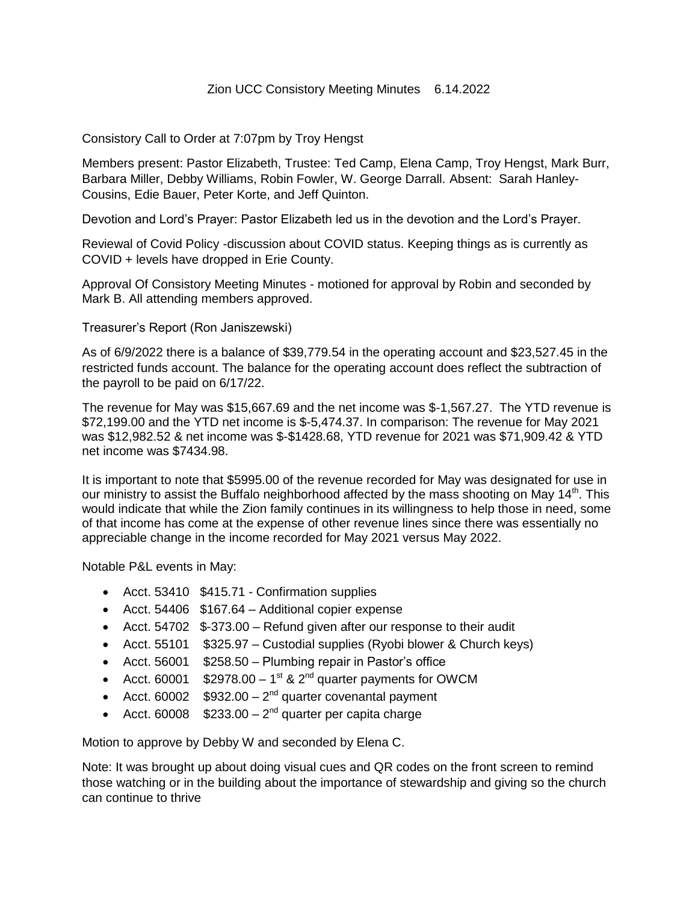## Zion UCC Consistory Meeting Minutes 6.14.2022

Consistory Call to Order at 7:07pm by Troy Hengst

Members present: Pastor Elizabeth, Trustee: Ted Camp, Elena Camp, Troy Hengst, Mark Burr, Barbara Miller, Debby Williams, Robin Fowler, W. George Darrall. Absent: Sarah Hanley-Cousins, Edie Bauer, Peter Korte, and Jeff Quinton.

Devotion and Lord's Prayer: Pastor Elizabeth led us in the devotion and the Lord's Prayer.

Reviewal of Covid Policy -discussion about COVID status. Keeping things as is currently as COVID + levels have dropped in Erie County.

Approval Of Consistory Meeting Minutes - motioned for approval by Robin and seconded by Mark B. All attending members approved.

## Treasurer's Report (Ron Janiszewski)

As of 6/9/2022 there is a balance of \$39,779.54 in the operating account and \$23,527.45 in the restricted funds account. The balance for the operating account does reflect the subtraction of the payroll to be paid on 6/17/22.

The revenue for May was \$15,667.69 and the net income was \$-1,567.27. The YTD revenue is \$72,199.00 and the YTD net income is \$-5,474.37. In comparison: The revenue for May 2021 was \$12,982.52 & net income was \$-\$1428.68, YTD revenue for 2021 was \$71,909.42 & YTD net income was \$7434.98.

It is important to note that \$5995.00 of the revenue recorded for May was designated for use in our ministry to assist the Buffalo neighborhood affected by the mass shooting on May  $14<sup>th</sup>$ . This would indicate that while the Zion family continues in its willingness to help those in need, some of that income has come at the expense of other revenue lines since there was essentially no appreciable change in the income recorded for May 2021 versus May 2022.

Notable P&L events in May:

- Acct. 53410 \$415.71 Confirmation supplies
- Acct. 54406 \$167.64 Additional copier expense
- Acct. 54702 \$-373.00 Refund given after our response to their audit
- Acct. 55101 \$325.97 Custodial supplies (Ryobi blower & Church keys)
- Acct. 56001 \$258.50 Plumbing repair in Pastor's office
- Acct. 60001  $$2978.00 1<sup>st</sup>$  & 2<sup>nd</sup> quarter payments for OWCM
- Acct. 60002  $$932.00 2<sup>nd</sup>$  quarter covenantal payment
- Acct. 60008  $$233.00 2<sup>nd</sup>$  quarter per capita charge

Motion to approve by Debby W and seconded by Elena C.

Note: It was brought up about doing visual cues and QR codes on the front screen to remind those watching or in the building about the importance of stewardship and giving so the church can continue to thrive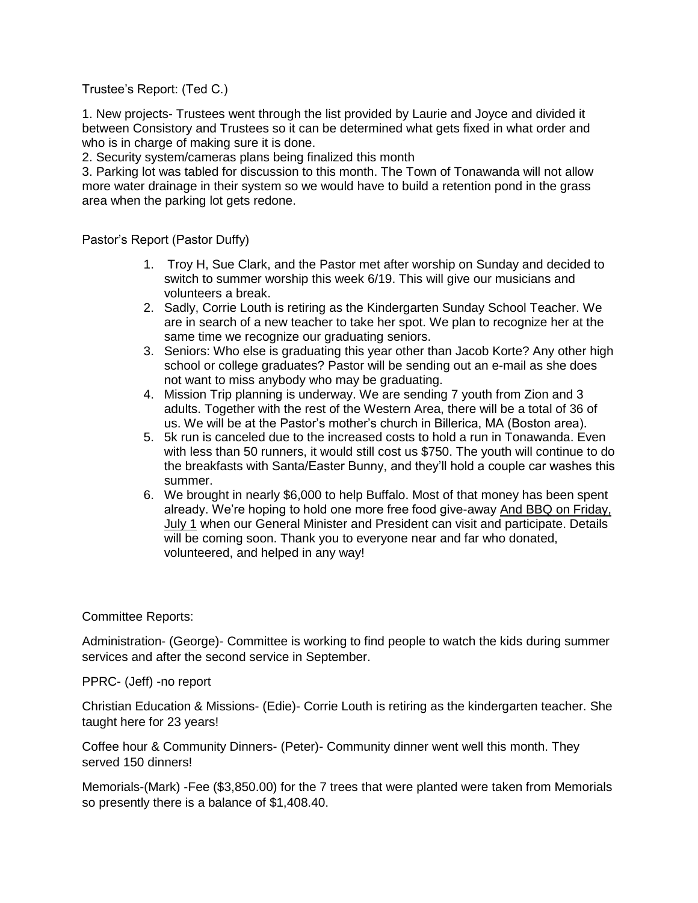Trustee's Report: (Ted C.)

1. New projects- Trustees went through the list provided by Laurie and Joyce and divided it between Consistory and Trustees so it can be determined what gets fixed in what order and who is in charge of making sure it is done.

2. Security system/cameras plans being finalized this month

3. Parking lot was tabled for discussion to this month. The Town of Tonawanda will not allow more water drainage in their system so we would have to build a retention pond in the grass area when the parking lot gets redone.

Pastor's Report (Pastor Duffy)

- 1. Troy H, Sue Clark, and the Pastor met after worship on Sunday and decided to switch to summer worship this week 6/19. This will give our musicians and volunteers a break.
- 2. Sadly, Corrie Louth is retiring as the Kindergarten Sunday School Teacher. We are in search of a new teacher to take her spot. We plan to recognize her at the same time we recognize our graduating seniors.
- 3. Seniors: Who else is graduating this year other than Jacob Korte? Any other high school or college graduates? Pastor will be sending out an e-mail as she does not want to miss anybody who may be graduating.
- 4. Mission Trip planning is underway. We are sending 7 youth from Zion and 3 adults. Together with the rest of the Western Area, there will be a total of 36 of us. We will be at the Pastor's mother's church in Billerica, MA (Boston area).
- 5. 5k run is canceled due to the increased costs to hold a run in Tonawanda. Even with less than 50 runners, it would still cost us \$750. The youth will continue to do the breakfasts with Santa/Easter Bunny, and they'll hold a couple car washes this summer.
- 6. We brought in nearly \$6,000 to help Buffalo. Most of that money has been spent already. We're hoping to hold one more free food give-away And BBQ on Friday, July 1 when our General Minister and President can visit and participate. Details will be coming soon. Thank you to everyone near and far who donated, volunteered, and helped in any way!

## Committee Reports:

Administration- (George)- Committee is working to find people to watch the kids during summer services and after the second service in September.

PPRC- (Jeff) -no report

Christian Education & Missions- (Edie)- Corrie Louth is retiring as the kindergarten teacher. She taught here for 23 years!

Coffee hour & Community Dinners- (Peter)- Community dinner went well this month. They served 150 dinners!

Memorials-(Mark) -Fee (\$3,850.00) for the 7 trees that were planted were taken from Memorials so presently there is a balance of \$1,408.40.